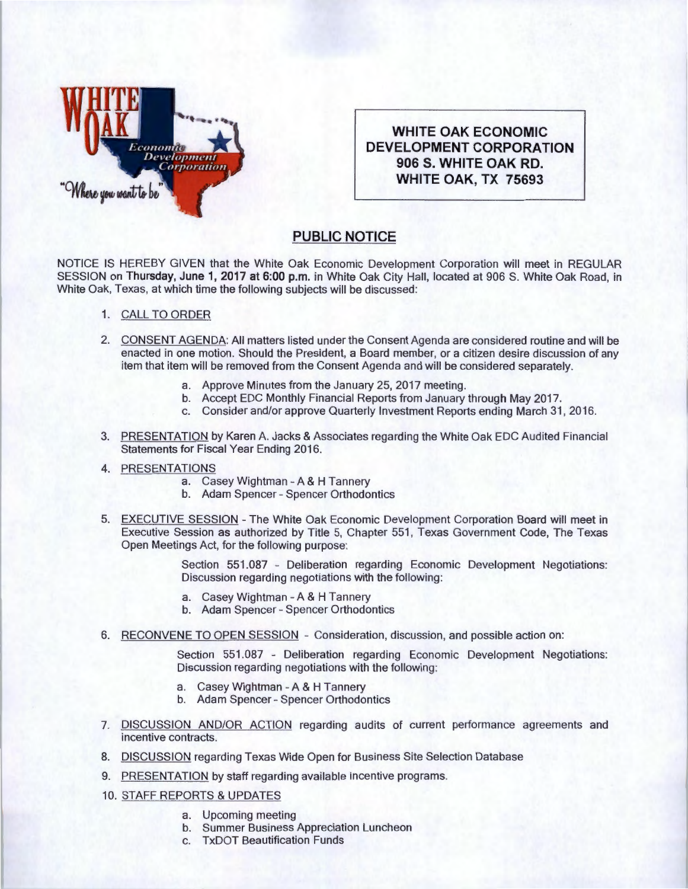

**WHITE OAK ECONOMIC DEVELOPMENT CORPORATION 906 S. WHITE OAK RD. WHITE OAK, TX 75693** 

## **PUBLIC NOTICE**

NOTICE IS HEREBY GIVEN that the White Oak Economic Development Corporation will meet in REGULAR SESSION on **Thursday, June 1, 2017 at 6:00 p.m.** in White Oak City Hall, located at 906 S. White Oak Road , in White Oak, Texas, at which time the following subjects will be discussed:

- 1. CALL TO ORDER
- 2. CONSENT AGENDA: All matters listed under the Consent Agenda are considered routine and will be enacted in one motion. Should the President, a Board member, or a citizen desire discussion of any item that item will be removed from the Consent Agenda and will be considered separately.
	- a. Approve Minutes from the January 25, 2017 meeting.
	- b. Accept EDC Monthly Financial Reports from January through May 2017.
	- c. Consider and/or approve Quarterly Investment Reports ending March 31 , 2016.
- 3. PRESENTATION by Karen A. Jacks & Associates regarding the White Oak EDC Audited Financial Statements for Fiscal Year Ending 2016.
- 4. PRESENTATIONS
	- a. Casey Wightman- A & H Tannery
	- b. Adam Spencer- Spencer Orthodontics
- 5. EXECUTIVE SESSION The White Oak Economic Development Corporation Board will meet in Executive Session as authorized by Title 5, Chapter 551 , Texas Government Code, The Texas Open Meetings Act, for the following purpose:

Section 551.087 - Deliberation regarding Economic Development Negotiations: Discussion regarding negotiations with the following:

- a. Casey Wightman A & H Tannery
- b. Adam Spencer- Spencer Orthodontics
- 6. RECONVENE TO OPEN SESSION Consideration, discussion, and possible action on:

Section 551.087 - Deliberation regarding Economic Development Negotiations: Discussion regarding negotiations with the following:

- a. Casey Wightman- A & H Tannery
- b. Adam Spencer- Spencer Orthodontics
- 7. DISCUSSION AND/OR ACTION regarding audits of current performance agreements and incentive contracts.
- 8. DISCUSSION regarding Texas Wide Open for Business Site Selection Database
- 9. PRESENTATION by staff regarding available incentive programs.
- 10. STAFF REPORTS & UPDATES
	- a. Upcoming meeting
	- b. Summer Business Appreciation Luncheon
	- c. TxDOT Beautification Funds